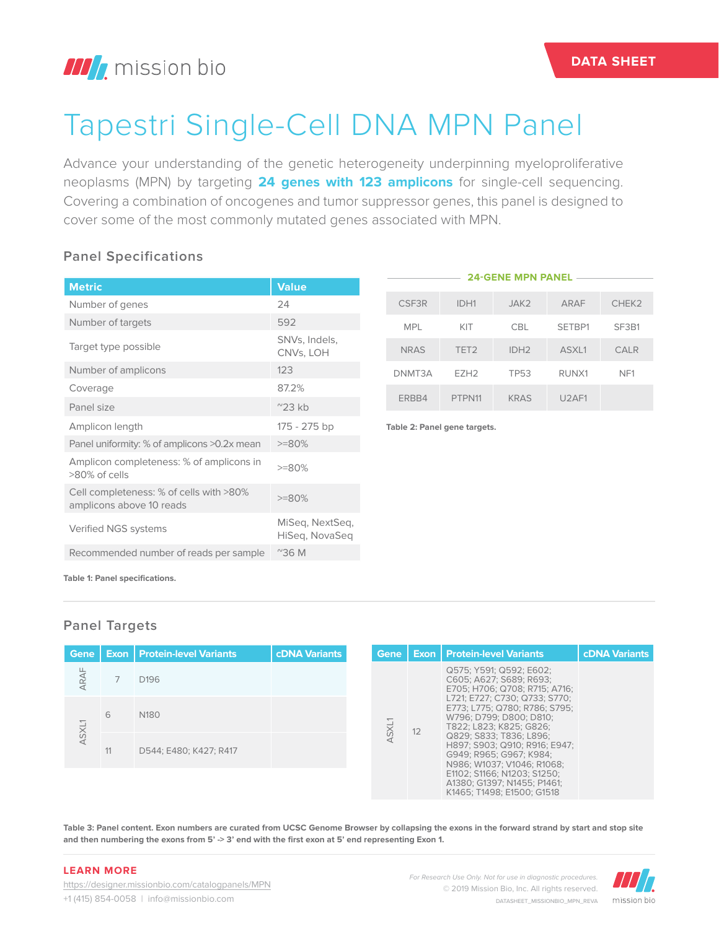# Tapestri Single-Cell DNA MPN Panel

Advance your understanding of the genetic heterogeneity underpinning myeloproliferative neoplasms (MPN) by targeting **24 genes with 123 amplicons** for single-cell sequencing. Covering a combination of oncogenes and tumor suppressor genes, this panel is designed to cover some of the most commonly mutated genes associated with MPN.

### **Panel Specifications**

|                                                                     |                                   |  | <b>24-GENE MPN PANEL</b>     |                  |                  |        |                 |  |
|---------------------------------------------------------------------|-----------------------------------|--|------------------------------|------------------|------------------|--------|-----------------|--|
| <b>Metric</b>                                                       | <b>Value</b>                      |  |                              |                  |                  |        |                 |  |
| Number of genes                                                     | 24                                |  | CSF3R                        | IDH1             | JAK2             | ARAF   | CHEK2           |  |
| Number of targets                                                   | 592                               |  | <b>MPL</b>                   | KIT              | <b>CBL</b>       | SETBP1 | SF3B1           |  |
| Target type possible                                                | SNVs, Indels,<br>CNVs, LOH        |  | <b>NRAS</b>                  | TET <sub>2</sub> | IDH <sub>2</sub> | ASXL1  | <b>CALR</b>     |  |
| Number of amplicons                                                 | 123                               |  | DNMT3A                       | EZH <sub>2</sub> | <b>TP53</b>      | RUNX1  | NF <sub>1</sub> |  |
| Coverage                                                            | 87.2%                             |  |                              |                  |                  |        |                 |  |
| Panel size                                                          | $^{\prime\prime}$ 23 kb           |  | ERBB4                        | PTPN11           | <b>KRAS</b>      | U2AF1  |                 |  |
| Amplicon length                                                     | 175 - 275 bp                      |  | Table 2: Panel gene targets. |                  |                  |        |                 |  |
| Panel uniformity: % of amplicons >0.2x mean                         | $>=80%$                           |  |                              |                  |                  |        |                 |  |
| Amplicon completeness: % of amplicons in<br>>80% of cells           | $>=80%$                           |  |                              |                  |                  |        |                 |  |
| Cell completeness: % of cells with >80%<br>amplicons above 10 reads | $>=80%$                           |  |                              |                  |                  |        |                 |  |
| Verified NGS systems                                                | MiSeq, NextSeq,<br>HiSeg, NovaSeg |  |                              |                  |                  |        |                 |  |
| Recommended number of reads per sample                              | $^{\prime\prime}36$ M             |  |                              |                  |                  |        |                 |  |

**Table 1: Panel specifications.**

## **Panel Targets**

| Gene  |    | <b>Exon   Protein-level Variants</b> | <b>cDNA Variants</b> | <b>Gene</b> |  | <b>Exon   Protein-level Variants</b>                                                                                                                                                                                                                                                                                             | <b>cDNA Variants</b> |
|-------|----|--------------------------------------|----------------------|-------------|--|----------------------------------------------------------------------------------------------------------------------------------------------------------------------------------------------------------------------------------------------------------------------------------------------------------------------------------|----------------------|
| ARAF  |    | D <sub>196</sub>                     |                      |             |  | Q575; Y591; Q592; E602;<br>C605: A627: S689: R693:<br>E705; H706; Q708; R715; A716;<br>L721: E727: C730: Q733: S770:<br>E773: L775: Q780: R786: S795:<br>W796: D799: D800: D810:<br>T822: L823: K825: G826:<br>Q829; S833; T836; L896;<br>H897: S903: Q910: R916: E947:<br>G949: R965: G967: K984:<br>N986: W1037: V1046: R1068: |                      |
|       | 6  | N <sub>180</sub>                     |                      | ASXL1       |  |                                                                                                                                                                                                                                                                                                                                  |                      |
| ASXL1 | 11 | D544: E480: K427: R417               |                      |             |  |                                                                                                                                                                                                                                                                                                                                  |                      |
|       |    |                                      |                      |             |  | E1102: S1166: N1203: S1250:<br>A1380: G1397: N1455: P1461:<br>K1465: T1498: E1500: G1518                                                                                                                                                                                                                                         |                      |

**Table 3: Panel content. Exon numbers are curated from UCSC Genome Browser by collapsing the exons in the forward strand by start and stop site and then numbering the exons from 5' -> 3' end with the first exon at 5' end representing Exon 1.**

#### **LEARN MORE**

https://designer.missionbio.com/catalogpanels/MPN +1 (415) 854-0058 | info@missionbio.com

*For Research Use Only. Not for use in diagnostic procedures.* © 2019 Mission Bio, Inc. All rights reserved. DATASHEET\_MISSIONBIO\_MPN\_REVA

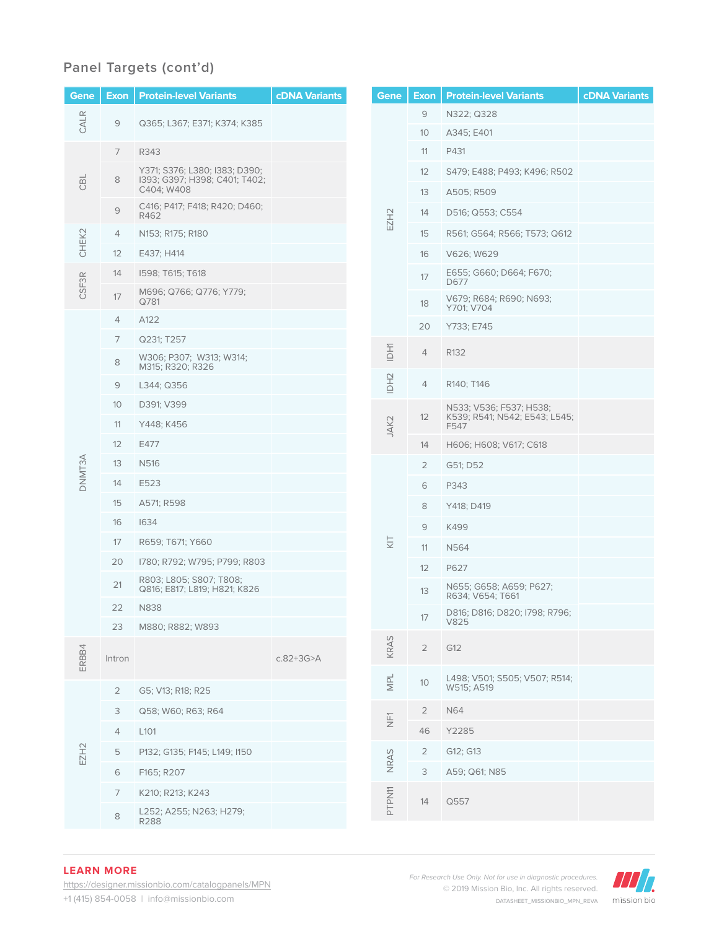## **Panel Targets (cont'd)**

| Gene          | <b>Exon</b>    | <b>Protein-level Variants</b>                                  | <b>cDNA</b> Variants |      | Gene             | <b>Exon</b>                           | <b>Protein-level Variants</b>               | <b>cDNA</b> Variants |
|---------------|----------------|----------------------------------------------------------------|----------------------|------|------------------|---------------------------------------|---------------------------------------------|----------------------|
| CALR          | 9              | Q365; L367; E371; K374; K385                                   |                      |      |                  | 9                                     | N322; Q328                                  |                      |
| CBL           |                |                                                                |                      |      | 10 <sup>°</sup>  | A345; E401                            |                                             |                      |
|               | $\overline{7}$ | R343                                                           |                      |      | 11               | P431                                  |                                             |                      |
|               | $\,8\,$        | Y371; S376; L380; I383; D390;<br>I393; G397; H398; C401; T402; |                      |      |                  | 12                                    | S479; E488; P493; K496; R502                |                      |
|               |                | C404; W408                                                     |                      |      |                  | 13                                    | A505; R509                                  |                      |
|               | 9              | C416; P417; F418; R420; D460;<br>R462                          |                      |      | EZH <sub>2</sub> | 14                                    | D516; Q553; C554                            |                      |
| CHEK2         | 4              | N153; R175; R180                                               |                      |      |                  | 15                                    | R561; G564; R566; T573; Q612                |                      |
|               | 12             | E437; H414                                                     |                      |      |                  | 16                                    | V626; W629                                  |                      |
|               | 14             | 1598; T615; T618                                               |                      |      |                  | 17                                    | E655; G660; D664; F670;<br>D677             |                      |
| <b>CSF3R</b>  | 17             | M696; Q766; Q776; Y779;<br>Q781                                |                      |      |                  | 18                                    | V679; R684; R690; N693;<br>Y701; V704       |                      |
|               | 4              | A122                                                           |                      |      |                  | 20                                    | Y733; E745                                  |                      |
|               | $\overline{7}$ | Q231; T257                                                     |                      |      |                  |                                       |                                             |                      |
|               | 8              | W306; P307; W313; W314;<br>M315; R320; R326                    |                      |      | <b>IDH1</b>      | 4                                     | R132                                        |                      |
|               | 9              | L344; Q356                                                     |                      |      | IDH <sub>2</sub> | 4                                     | R140; T146                                  |                      |
|               | 10             | D391; V399                                                     |                      |      |                  |                                       | N533; V536; F537; H538;                     |                      |
|               | 11             | Y448; K456                                                     |                      | JAK2 | 12               | K539; R541; N542; E543; L545;<br>F547 |                                             |                      |
|               | 12             | E477                                                           |                      |      |                  | 14                                    | H606; H608; V617; C618                      |                      |
| <b>DNMT3A</b> | 13             | N516                                                           |                      |      |                  | 2                                     | G51; D52                                    |                      |
|               | 14             | E523                                                           |                      |      |                  | 6                                     | P343                                        |                      |
|               | 15             | A571; R598                                                     |                      |      |                  | 8                                     | Y418; D419                                  |                      |
|               | 16             | 1634                                                           |                      |      |                  | 9                                     | K499                                        |                      |
|               | 17             | R659; T671; Y660                                               |                      |      | KΙ               | 11                                    | N564                                        |                      |
|               | 20             | I780; R792; W795; P799; R803                                   |                      |      |                  | 12                                    | P627                                        |                      |
|               | 21             | R803; L805; S807; T808;<br>Q816; E817; L819; H821; K826        |                      |      |                  | 13                                    | N655; G658; A659; P627;<br>R634; V654; T661 |                      |
|               | 22             | N838                                                           |                      |      |                  | 17                                    | D816; D816; D820; I798; R796;               |                      |
|               | 23             | M880; R882; W893                                               |                      |      |                  |                                       | V825                                        |                      |
| ERBB4         | Intron         |                                                                | $c.82 + 3G > A$      |      | KRAS             | $\overline{2}$                        | G12                                         |                      |
|               | $\overline{2}$ | G5; V13; R18; R25                                              |                      |      | NPL              | $10$                                  | L498; V501; S505; V507; R514;<br>W515; A519 |                      |
| EZH2          | 3              | Q58; W60; R63; R64                                             |                      |      |                  | $\overline{2}$                        | <b>N64</b>                                  |                      |
|               | 4              | L <sub>101</sub>                                               |                      |      | $\overline{\Xi}$ | 46                                    | Y2285                                       |                      |
|               | $\mathbf 5$    | P132; G135; F145; L149; I150                                   |                      |      |                  | $\overline{2}$                        | G12; G13                                    |                      |
|               | 6              | F165; R207                                                     |                      |      | NRAS             | 3                                     | A59; Q61; N85                               |                      |
|               | $\overline{7}$ | K210; R213; K243                                               |                      |      |                  |                                       |                                             |                      |
|               | 8              | L252; A255; N263; H279;<br>R288                                |                      |      | PTPN11           | 14                                    | Q557                                        |                      |

#### **LEARN MORE**

https://designer.missionbio.com/catalogpanels/MPN +1 (415) 854-0058 | info@missionbio.com